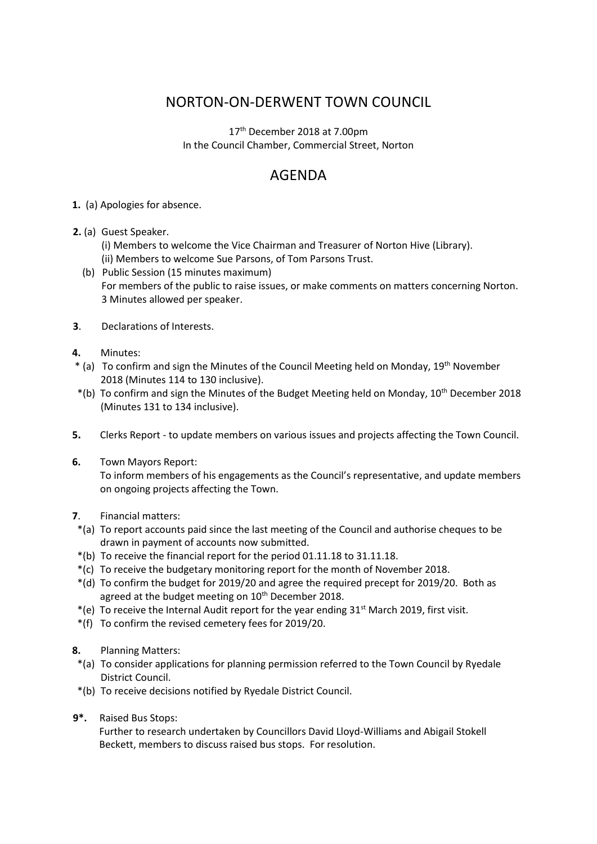## NORTON-ON-DERWENT TOWN COUNCIL

17th December 2018 at 7.00pm In the Council Chamber, Commercial Street, Norton

## AGENDA

- **1.** (a) Apologies for absence.
- **2.** (a) Guest Speaker.
	- (i) Members to welcome the Vice Chairman and Treasurer of Norton Hive (Library).
	- (ii) Members to welcome Sue Parsons, of Tom Parsons Trust.
	- (b) Public Session (15 minutes maximum) For members of the public to raise issues, or make comments on matters concerning Norton. 3 Minutes allowed per speaker.
- **3**. Declarations of Interests.
- **4.** Minutes:
- \* (a) To confirm and sign the Minutes of the Council Meeting held on Monday, 19th November 2018 (Minutes 114 to 130 inclusive).
- \*(b) To confirm and sign the Minutes of the Budget Meeting held on Monday, 10th December 2018 (Minutes 131 to 134 inclusive).
- **5.** Clerks Report to update members on various issues and projects affecting the Town Council.
- **6.** Town Mayors Report: To inform members of his engagements as the Council's representative, and update members on ongoing projects affecting the Town.
- **7**. Financial matters:
- \*(a) To report accounts paid since the last meeting of the Council and authorise cheques to be drawn in payment of accounts now submitted.
- \*(b) To receive the financial report for the period 01.11.18 to 31.11.18.
- \*(c) To receive the budgetary monitoring report for the month of November 2018.
- \*(d) To confirm the budget for 2019/20 and agree the required precept for 2019/20. Both as agreed at the budget meeting on 10<sup>th</sup> December 2018.
- \*(e) To receive the Internal Audit report for the year ending  $31<sup>st</sup>$  March 2019, first visit.
- \*(f) To confirm the revised cemetery fees for 2019/20.
- **8.** Planning Matters:
- \*(a) To consider applications for planning permission referred to the Town Council by Ryedale District Council.
- \*(b) To receive decisions notified by Ryedale District Council.
- **9\*.** Raised Bus Stops:

Further to research undertaken by Councillors David Lloyd-Williams and Abigail Stokell Beckett, members to discuss raised bus stops. For resolution.